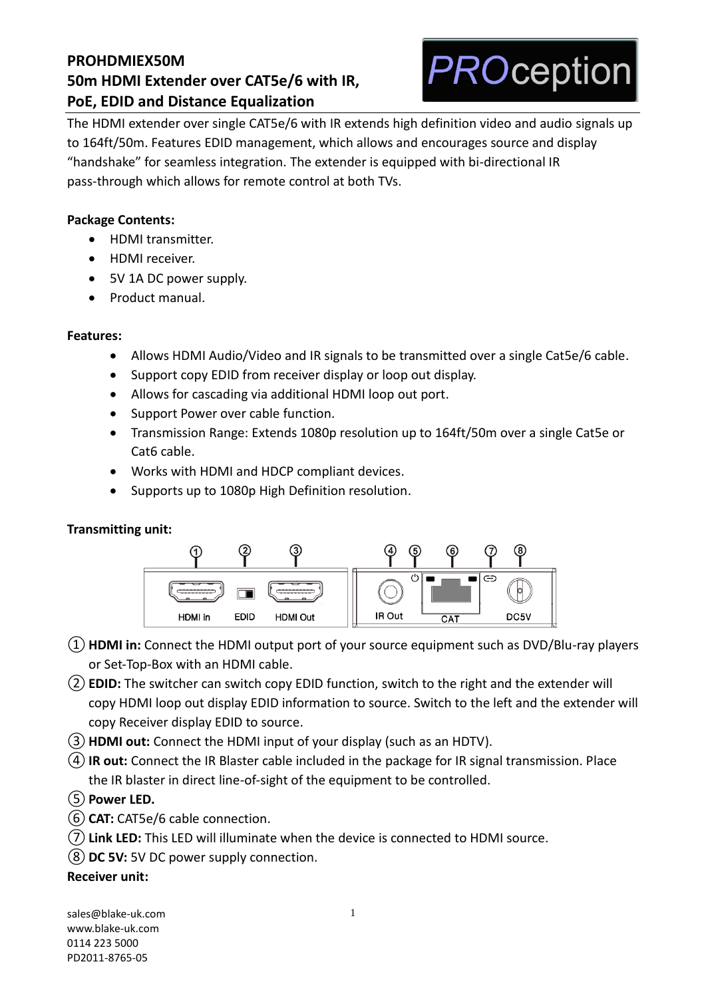

The HDMI extender over single CAT5e/6 with IR extends high definition video and audio signals up to 164ft/50m. Features EDID management, which allows and encourages source and display "handshake" for seamless integration. The extender is equipped with bi-directional IR pass-through which allows for remote control at both TVs.

## **Package Contents:**

- HDMI transmitter.
- HDMI receiver.
- 5V 1A DC power supply.
- Product manual.

#### **Features:**

- Allows HDMI Audio/Video and IR signals to be transmitted over a single Cat5e/6 cable.
- Support copy EDID from receiver display or loop out display.
- Allows for cascading via additional HDMI loop out port.
- Support Power over cable function.
- Transmission Range: Extends 1080p resolution up to 164ft/50m over a single Cat5e or Cat6 cable.
- Works with HDMI and HDCP compliant devices.
- Supports up to 1080p High Definition resolution.

## **Transmitting unit:**



- ①**HDMI in:** Connect the HDMI output port of your source equipment such as DVD/Blu-ray players or Set-Top-Box with an HDMI cable.
- ②**EDID:** The switcher can switch copy EDID function, switch to the right and the extender will copy HDMI loop out display EDID information to source. Switch to the left and the extender will copy Receiver display EDID to source.
- ③**HDMI out:** Connect the HDMI input of your display (such as an HDTV).
- ④**IR out:** Connect the IR Blaster cable included in the package for IR signal transmission. Place the IR blaster in direct line-of-sight of the equipment to be controlled.
- ⑤**Power LED.**
- ⑥**CAT:** CAT5e/6 cable connection.
- ⑦**Link LED:** This LED will illuminate when the device is connected to HDMI source.
- ⑧**DC 5V:** 5V DC power supply connection.

#### **Receiver unit:**

[sales@blake-uk.com](mailto:sales@blake-uk.com) [www.blake-uk.com](http://www.blake-uk.com/) 0114 223 5000 PD2011-8765-05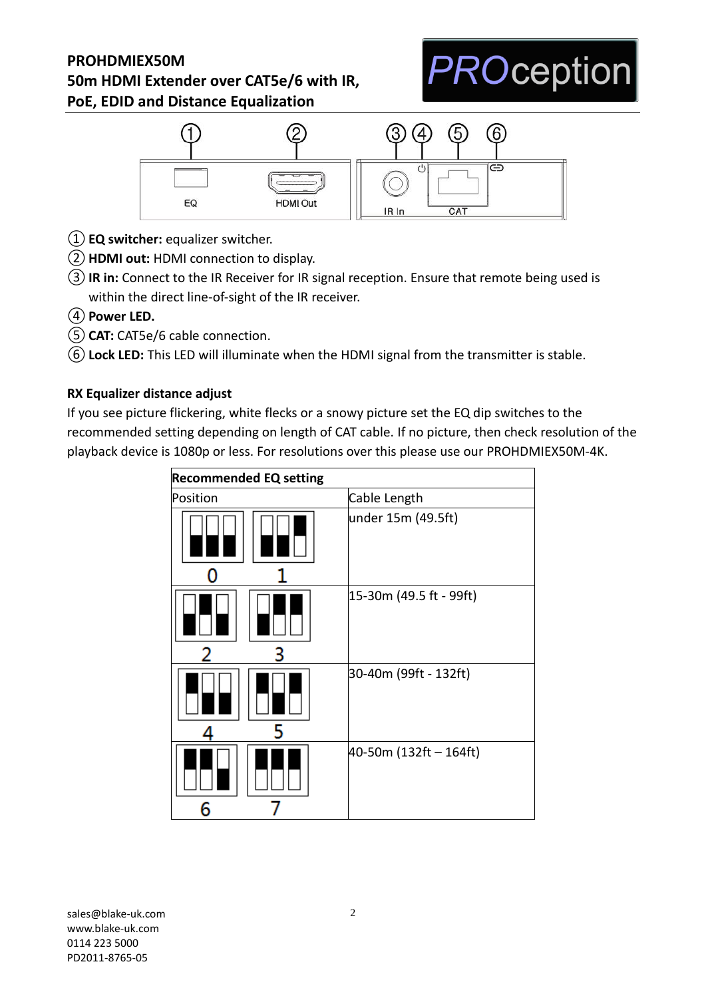



- ①**EQ switcher:** equalizer switcher.
- ②**HDMI out:** HDMI connection to display.
- ③**IR in:** Connect to the IR Receiver for IR signal reception. Ensure that remote being used is within the direct line-of-sight of the IR receiver.
- ④**Power LED.**
- ⑤**CAT:** CAT5e/6 cable connection.
- ⑥**Lock LED:** This LED will illuminate when the HDMI signal from the transmitter is stable.

## **RX Equalizer distance adjust**

If you see picture flickering, white flecks or a snowy picture set the EQ dip switches to the recommended setting depending on length of CAT cable. If no picture, then check resolution of the playback device is 1080p or less. For resolutions over this please use our PROHDMIEX50M-4K.

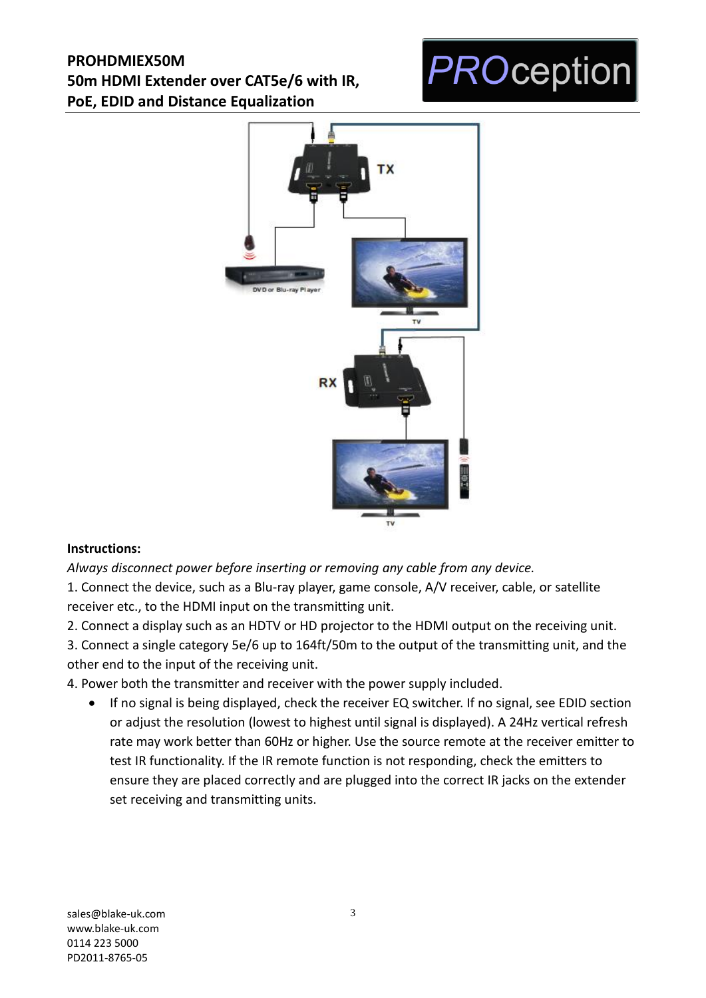# **PROception**



## **Instructions:**

*Always disconnect power before inserting or removing any cable from any device.*

1. Connect the device, such as a Blu-ray player, game console, A/V receiver, cable, or satellite receiver etc., to the HDMI input on the transmitting unit.

2. Connect a display such as an HDTV or HD projector to the HDMI output on the receiving unit.

3. Connect a single category 5e/6 up to 164ft/50m to the output of the transmitting unit, and the other end to the input of the receiving unit.

4. Power both the transmitter and receiver with the power supply included.

• If no signal is being displayed, check the receiver EQ switcher. If no signal, see EDID section or adjust the resolution (lowest to highest until signal is displayed). A 24Hz vertical refresh rate may work better than 60Hz or higher. Use the source remote at the receiver emitter to test IR functionality. If the IR remote function is not responding, check the emitters to ensure they are placed correctly and are plugged into the correct IR jacks on the extender set receiving and transmitting units.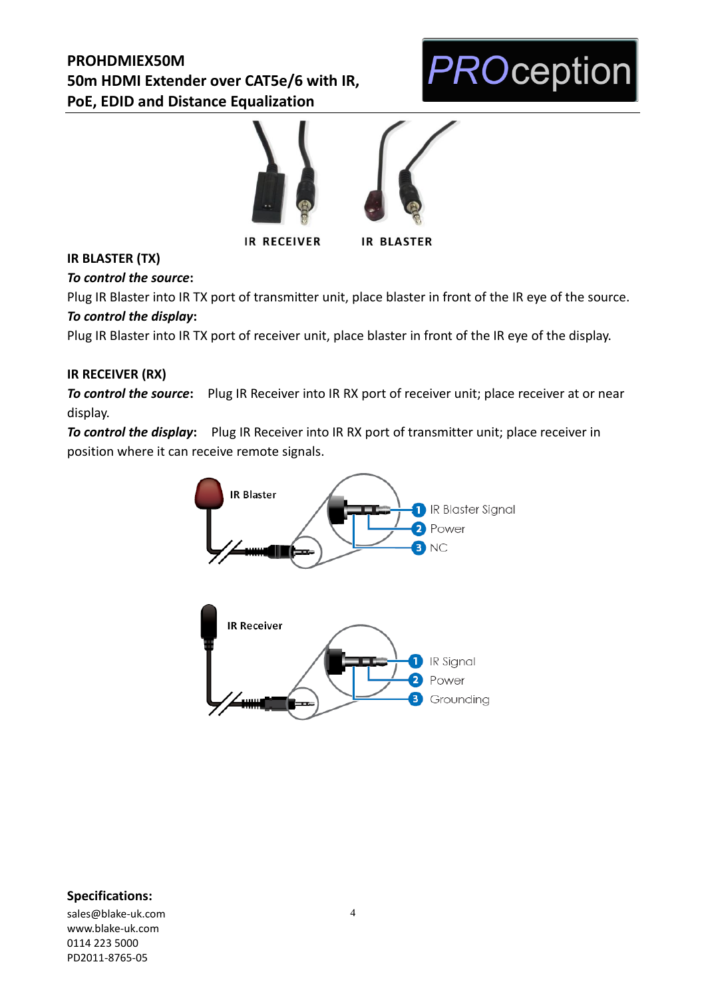



**IR RECEIVER** 



## **IR BLASTER (TX)**

*To control the source***:**

Plug IR Blaster into IR TX port of transmitter unit, place blaster in front of the IR eye of the source. *To control the display***:**

Plug IR Blaster into IR TX port of receiver unit, place blaster in front of the IR eye of the display.

## **IR RECEIVER (RX)**

**To control the source:** Plug IR Receiver into IR RX port of receiver unit; place receiver at or near display.

*To control the display***:** Plug IR Receiver into IR RX port of transmitter unit; place receiver in position where it can receive remote signals.